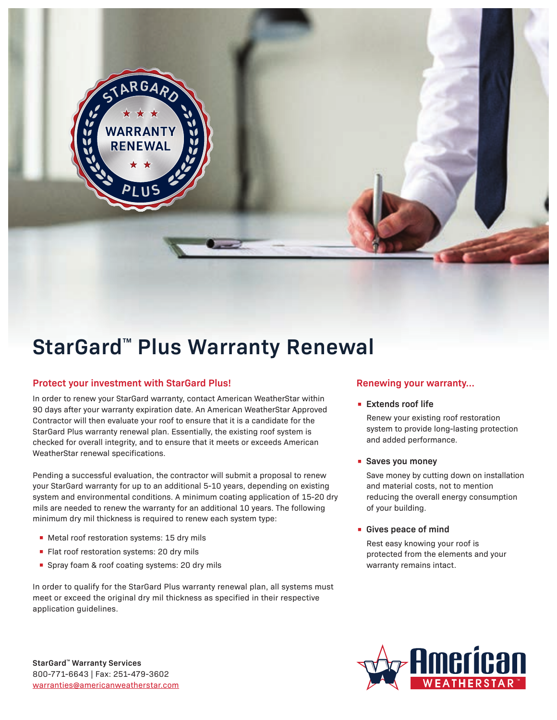

# **StarGard**™ **Plus Warranty Renewal**

## **Protect your investment with StarGard Plus!**

GД

**WARRANT** 

In order to renew your StarGard warranty, contact American WeatherStar within 90 days after your warranty expiration date. An American WeatherStar Approved Contractor will then evaluate your roof to ensure that it is a candidate for the StarGard Plus warranty renewal plan. Essentially, the existing roof system is checked for overall integrity, and to ensure that it meets or exceeds American WeatherStar renewal specifications.

Pending a successful evaluation, the contractor will submit a proposal to renew your StarGard warranty for up to an additional 5-10 years, depending on existing system and environmental conditions. A minimum coating application of 15-20 dry mils are needed to renew the warranty for an additional 10 years. The following minimum dry mil thickness is required to renew each system type:

- Metal roof restoration systems: 15 dry mils
- Flat roof restoration systems: 20 dry mils
- Spray foam & roof coating systems: 20 dry mils

In order to qualify for the StarGard Plus warranty renewal plan, all systems must meet or exceed the original dry mil thickness as specified in their respective application guidelines.

## **Renewing your warranty...**

#### **• Extends roof life**

Renew your existing roof restoration system to provide long-lasting protection and added performance.

**• Saves you money**

Save money by cutting down on installation and material costs, not to mention reducing the overall energy consumption of your building.

#### **• Gives peace of mind**

Rest easy knowing your roof is protected from the elements and your warranty remains intact.